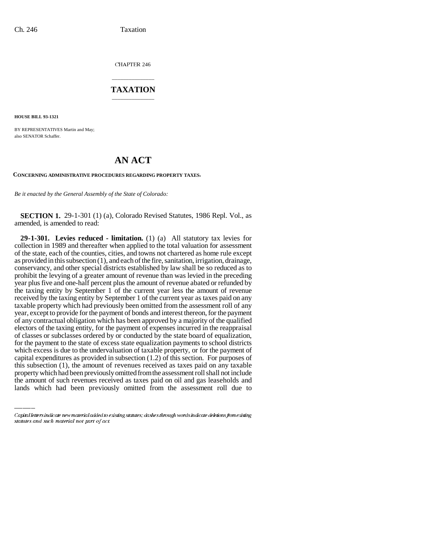CHAPTER 246

## \_\_\_\_\_\_\_\_\_\_\_\_\_\_\_ **TAXATION** \_\_\_\_\_\_\_\_\_\_\_\_\_\_\_

**HOUSE BILL 93-1321**

BY REPRESENTATIVES Martin and May; also SENATOR Schaffer.

## **AN ACT**

**CONCERNING ADMINISTRATIVE PROCEDURES REGARDING PROPERTY TAXES.**

*Be it enacted by the General Assembly of the State of Colorado:*

**SECTION 1.** 29-1-301 (1) (a), Colorado Revised Statutes, 1986 Repl. Vol., as amended, is amended to read:

capital expenditures as provided in subsection (1.2) of this section. For purposes of **29-1-301. Levies reduced - limitation.** (1) (a) All statutory tax levies for collection in 1989 and thereafter when applied to the total valuation for assessment of the state, each of the counties, cities, and towns not chartered as home rule except as provided in this subsection (1), and each of the fire, sanitation, irrigation, drainage, conservancy, and other special districts established by law shall be so reduced as to prohibit the levying of a greater amount of revenue than was levied in the preceding year plus five and one-half percent plus the amount of revenue abated or refunded by the taxing entity by September 1 of the current year less the amount of revenue received by the taxing entity by September 1 of the current year as taxes paid on any taxable property which had previously been omitted from the assessment roll of any year, except to provide for the payment of bonds and interest thereon, for the payment of any contractual obligation which has been approved by a majority of the qualified electors of the taxing entity, for the payment of expenses incurred in the reappraisal of classes or subclasses ordered by or conducted by the state board of equalization, for the payment to the state of excess state equalization payments to school districts which excess is due to the undervaluation of taxable property, or for the payment of this subsection (1), the amount of revenues received as taxes paid on any taxable property which had been previously omitted from the assessment roll shall not include the amount of such revenues received as taxes paid on oil and gas leaseholds and lands which had been previously omitted from the assessment roll due to

Capital letters indicate new material added to existing statutes; dashes through words indicate deletions from existing statutes and such material not part of act.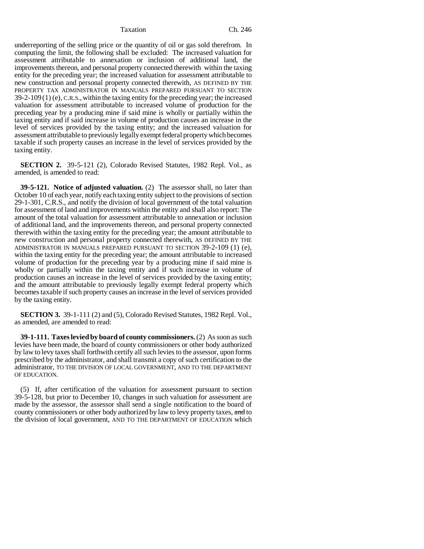Taxation Ch. 246

underreporting of the selling price or the quantity of oil or gas sold therefrom. In computing the limit, the following shall be excluded: The increased valuation for assessment attributable to annexation or inclusion of additional land, the improvements thereon, and personal property connected therewith within the taxing entity for the preceding year; the increased valuation for assessment attributable to new construction and personal property connected therewith, AS DEFINED BY THE PROPERTY TAX ADMINISTRATOR IN MANUALS PREPARED PURSUANT TO SECTION  $39-2-109(1)$  (e), C.R.S., within the taxing entity for the preceding year; the increased valuation for assessment attributable to increased volume of production for the preceding year by a producing mine if said mine is wholly or partially within the taxing entity and if said increase in volume of production causes an increase in the level of services provided by the taxing entity; and the increased valuation for assessment attributable to previously legally exempt federal property which becomes taxable if such property causes an increase in the level of services provided by the taxing entity.

**SECTION 2.** 39-5-121 (2), Colorado Revised Statutes, 1982 Repl. Vol., as amended, is amended to read:

**39-5-121. Notice of adjusted valuation.** (2) The assessor shall, no later than October 10 of each year, notify each taxing entity subject to the provisions of section 29-1-301, C.R.S., and notify the division of local government of the total valuation for assessment of land and improvements within the entity and shall also report: The amount of the total valuation for assessment attributable to annexation or inclusion of additional land, and the improvements thereon, and personal property connected therewith within the taxing entity for the preceding year; the amount attributable to new construction and personal property connected therewith, AS DEFINED BY THE ADMINISTRATOR IN MANUALS PREPARED PURSUANT TO SECTION 39-2-109 (1) (e), within the taxing entity for the preceding year; the amount attributable to increased volume of production for the preceding year by a producing mine if said mine is wholly or partially within the taxing entity and if such increase in volume of production causes an increase in the level of services provided by the taxing entity; and the amount attributable to previously legally exempt federal property which becomes taxable if such property causes an increase in the level of services provided by the taxing entity.

**SECTION 3.** 39-1-111 (2) and (5), Colorado Revised Statutes, 1982 Repl. Vol., as amended, are amended to read:

**39-1-111. Taxes levied by board of county commissioners.** (2) As soon as such levies have been made, the board of county commissioners or other body authorized by law to levy taxes shall forthwith certify all such levies to the assessor, upon forms prescribed by the administrator, and shall transmit a copy of such certification to the administrator, TO THE DIVISION OF LOCAL GOVERNMENT, AND TO THE DEPARTMENT OF EDUCATION.

(5) If, after certification of the valuation for assessment pursuant to section 39-5-128, but prior to December 10, changes in such valuation for assessment are made by the assessor, the assessor shall send a single notification to the board of county commissioners or other body authorized by law to levy property taxes, and to the division of local government, AND TO THE DEPARTMENT OF EDUCATION which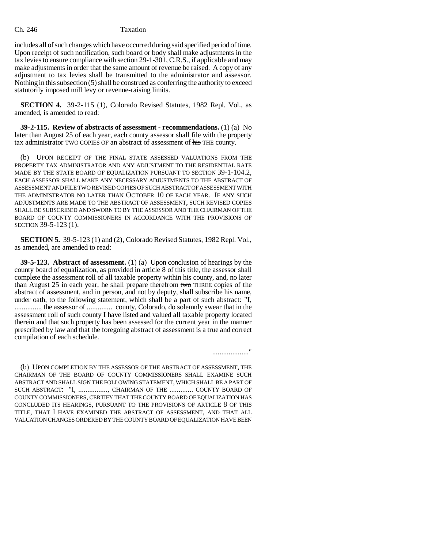includes all of such changes which have occurred during said specified period of time. Upon receipt of such notification, such board or body shall make adjustments in the tax levies to ensure compliance with section 29-1-301, C.R.S., if applicable and may make adjustments in order that the same amount of revenue be raised. A copy of any adjustment to tax levies shall be transmitted to the administrator and assessor. Nothing in this subsection (5) shall be construed as conferring the authority to exceed statutorily imposed mill levy or revenue-raising limits.

**SECTION 4.** 39-2-115 (1), Colorado Revised Statutes, 1982 Repl. Vol., as amended, is amended to read:

**39-2-115. Review of abstracts of assessment - recommendations.** (1) (a) No later than August 25 of each year, each county assessor shall file with the property tax administrator TWO COPIES OF an abstract of assessment of his THE county.

(b) UPON RECEIPT OF THE FINAL STATE ASSESSED VALUATIONS FROM THE PROPERTY TAX ADMINISTRATOR AND ANY ADJUSTMENT TO THE RESIDENTIAL RATE MADE BY THE STATE BOARD OF EQUALIZATION PURSUANT TO SECTION 39-1-104.2, EACH ASSESSOR SHALL MAKE ANY NECESSARY ADJUSTMENTS TO THE ABSTRACT OF ASSESSMENT AND FILE TWO REVISED COPIES OF SUCH ABSTRACT OF ASSESSMENT WITH THE ADMINISTRATOR NO LATER THAN OCTOBER 10 OF EACH YEAR. IF ANY SUCH ADJUSTMENTS ARE MADE TO THE ABSTRACT OF ASSESSMENT, SUCH REVISED COPIES SHALL BE SUBSCRIBED AND SWORN TO BY THE ASSESSOR AND THE CHAIRMAN OF THE BOARD OF COUNTY COMMISSIONERS IN ACCORDANCE WITH THE PROVISIONS OF SECTION 39-5-123 (1).

**SECTION 5.** 39-5-123 (1) and (2), Colorado Revised Statutes, 1982 Repl. Vol., as amended, are amended to read:

**39-5-123. Abstract of assessment.** (1) (a) Upon conclusion of hearings by the county board of equalization, as provided in article 8 of this title, the assessor shall complete the assessment roll of all taxable property within his county, and, no later than August 25 in each year, he shall prepare therefrom two THREE copies of the abstract of assessment, and in person, and not by deputy, shall subscribe his name, under oath, to the following statement, which shall be a part of such abstract: "I, .............., the assessor of .............. county, Colorado, do solemnly swear that in the assessment roll of such county I have listed and valued all taxable property located therein and that such property has been assessed for the current year in the manner prescribed by law and that the foregoing abstract of assessment is a true and correct compilation of each schedule.

...................."

(b) UPON COMPLETION BY THE ASSESSOR OF THE ABSTRACT OF ASSESSMENT, THE CHAIRMAN OF THE BOARD OF COUNTY COMMISSIONERS SHALL EXAMINE SUCH ABSTRACT AND SHALL SIGN THE FOLLOWING STATEMENT, WHICH SHALL BE A PART OF SUCH ABSTRACT: "I, ................, CHAIRMAN OF THE ............. COUNTY BOARD OF COUNTY COMMISSIONERS, CERTIFY THAT THE COUNTY BOARD OF EQUALIZATION HAS CONCLUDED ITS HEARINGS, PURSUANT TO THE PROVISIONS OF ARTICLE 8 OF THIS TITLE, THAT I HAVE EXAMINED THE ABSTRACT OF ASSESSMENT, AND THAT ALL VALUATION CHANGES ORDERED BY THE COUNTY BOARD OF EQUALIZATION HAVE BEEN